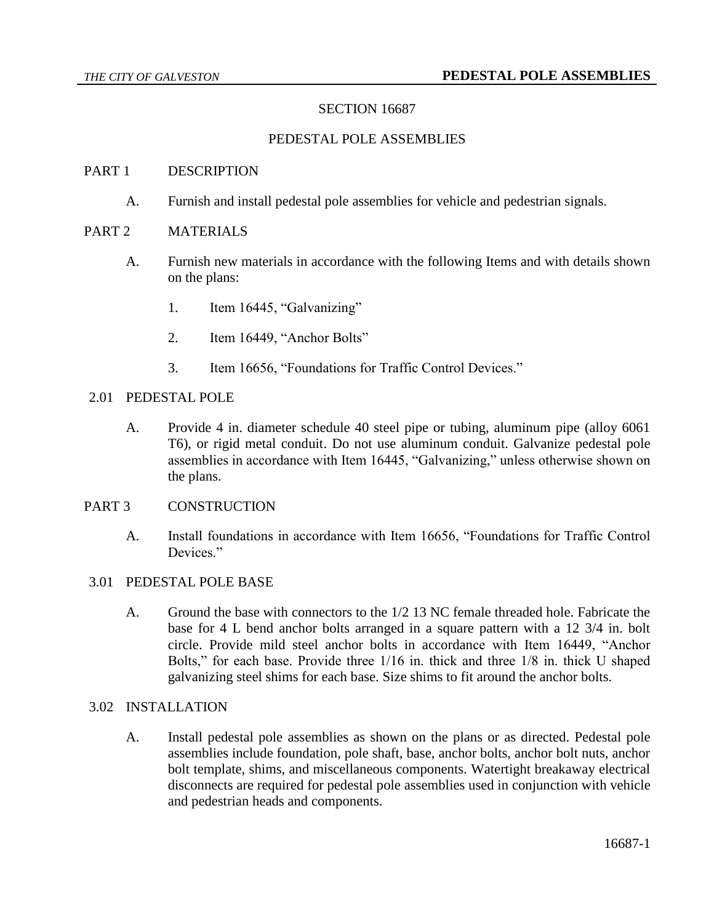# SECTION 16687

### PEDESTAL POLE ASSEMBLIES

#### PART 1 DESCRIPTION

A. Furnish and install pedestal pole assemblies for vehicle and pedestrian signals.

## PART 2 MATERIALS

- A. Furnish new materials in accordance with the following Items and with details shown on the plans:
	- 1. Item 16445, "Galvanizing"
	- 2. Item 16449, "Anchor Bolts"
	- 3. Item 16656, "Foundations for Traffic Control Devices."

### 2.01 PEDESTAL POLE

A. Provide 4 in. diameter schedule 40 steel pipe or tubing, aluminum pipe (alloy 6061 T6), or rigid metal conduit. Do not use aluminum conduit. Galvanize pedestal pole assemblies in accordance with Item 16445, "Galvanizing," unless otherwise shown on the plans.

# PART 3 CONSTRUCTION

A. Install foundations in accordance with Item 16656, "Foundations for Traffic Control Devices."

## 3.01 PEDESTAL POLE BASE

A. Ground the base with connectors to the 1/2 13 NC female threaded hole. Fabricate the base for 4 L bend anchor bolts arranged in a square pattern with a 12 3/4 in. bolt circle. Provide mild steel anchor bolts in accordance with Item 16449, "Anchor Bolts," for each base. Provide three 1/16 in. thick and three 1/8 in. thick U shaped galvanizing steel shims for each base. Size shims to fit around the anchor bolts.

#### 3.02 INSTALLATION

A. Install pedestal pole assemblies as shown on the plans or as directed. Pedestal pole assemblies include foundation, pole shaft, base, anchor bolts, anchor bolt nuts, anchor bolt template, shims, and miscellaneous components. Watertight breakaway electrical disconnects are required for pedestal pole assemblies used in conjunction with vehicle and pedestrian heads and components.